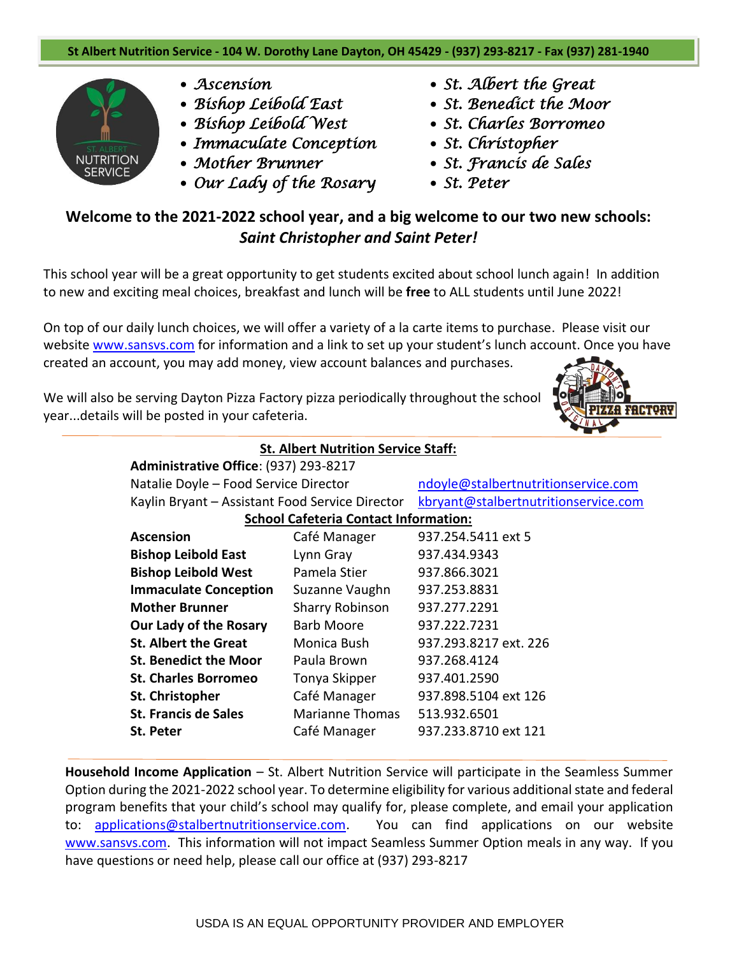

- *Ascension*
- *Bishop Leibold East*
- *Bishop Leibold West*
- *Immaculate Conception*
- *Mother Brunner*
- *Our Lady of the Rosary*
- *St. Albert the Great*
- *St. Benedict the Moor*
- *St. Charles Borromeo*
- *St. Christopher*
- *St. Francis de Sales*
- *St. Peter*

## **Welcome to the 2021-2022 school year, and a big welcome to our two new schools:** *Saint Christopher and Saint Peter!*

This school year will be a great opportunity to get students excited about school lunch again! In addition to new and exciting meal choices, breakfast and lunch will be **free** to ALL students until June 2022!

On top of our daily lunch choices, we will offer a variety of a la carte items to purchase. Please visit our website [www.sansvs.com](http://www.sansvs.com/) for information and a link to set up your student's lunch account. Once you have created an account, you may add money, view account balances and purchases.

We will also be serving Dayton Pizza Factory pizza periodically throughout the school year...details will be posted in your cafeteria.



| <b>St. Albert Nutrition Service Staff:</b>      |                        |                                      |  |  |  |  |
|-------------------------------------------------|------------------------|--------------------------------------|--|--|--|--|
| Administrative Office: (937) 293-8217           |                        |                                      |  |  |  |  |
| Natalie Doyle - Food Service Director           |                        | ndoyle@stalbertnutritionservice.com  |  |  |  |  |
| Kaylin Bryant - Assistant Food Service Director |                        | kbryant@stalbertnutritionservice.com |  |  |  |  |
| <b>School Cafeteria Contact Information:</b>    |                        |                                      |  |  |  |  |
| <b>Ascension</b>                                | Café Manager           | 937.254.5411 ext 5                   |  |  |  |  |
| <b>Bishop Leibold East</b>                      | Lynn Gray              | 937.434.9343                         |  |  |  |  |
| <b>Bishop Leibold West</b>                      | Pamela Stier           | 937.866.3021                         |  |  |  |  |
| <b>Immaculate Conception</b>                    | Suzanne Vaughn         | 937.253.8831                         |  |  |  |  |
| <b>Mother Brunner</b>                           | <b>Sharry Robinson</b> | 937.277.2291                         |  |  |  |  |
| <b>Our Lady of the Rosary</b>                   | Barb Moore             | 937.222.7231                         |  |  |  |  |
| <b>St. Albert the Great</b>                     | Monica Bush            | 937.293.8217 ext. 226                |  |  |  |  |
| <b>St. Benedict the Moor</b>                    | Paula Brown            | 937.268.4124                         |  |  |  |  |
| <b>St. Charles Borromeo</b>                     | Tonya Skipper          | 937.401.2590                         |  |  |  |  |
| St. Christopher                                 | Café Manager           | 937.898.5104 ext 126                 |  |  |  |  |
| <b>St. Francis de Sales</b>                     | <b>Marianne Thomas</b> | 513.932.6501                         |  |  |  |  |
| <b>St. Peter</b>                                | Café Manager           | 937.233.8710 ext 121                 |  |  |  |  |

**Household Income Application** – St. Albert Nutrition Service will participate in the Seamless Summer Option during the 2021-2022 school year. To determine eligibility for various additional state and federal program benefits that your child's school may qualify for, please complete, and email your application to: [applications@stalbertnutritionservice.com.](mailto:applications@stalbertnutritionservice.com) You can find applications on our website www.sansys.com. This information will not impact Seamless Summer Option meals in any way. If you have questions or need help, please call our office at (937) 293-8217